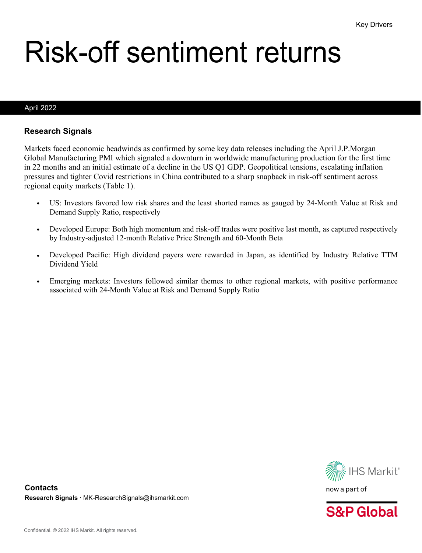# Risk-off sentiment returns

#### April 2022

#### **Research Signals**

Markets faced economic headwinds as confirmed by some key data releases including the April J.P.Morgan Global Manufacturing PMI which signaled a downturn in worldwide manufacturing production for the first time in 22 months and an initial estimate of a decline in the US Q1 GDP. Geopolitical tensions, escalating inflation pressures and tighter Covid restrictions in China contributed to a sharp snapback in risk-off sentiment across regional equity markets (Table 1).

- US: Investors favored low risk shares and the least shorted names as gauged by 24-Month Value at Risk and Demand Supply Ratio, respectively
- Developed Europe: Both high momentum and risk-off trades were positive last month, as captured respectively by Industry-adjusted 12-month Relative Price Strength and 60-Month Beta
- Developed Pacific: High dividend payers were rewarded in Japan, as identified by Industry Relative TTM Dividend Yield
- Emerging markets: Investors followed similar themes to other regional markets, with positive performance associated with 24-Month Value at Risk and Demand Supply Ratio



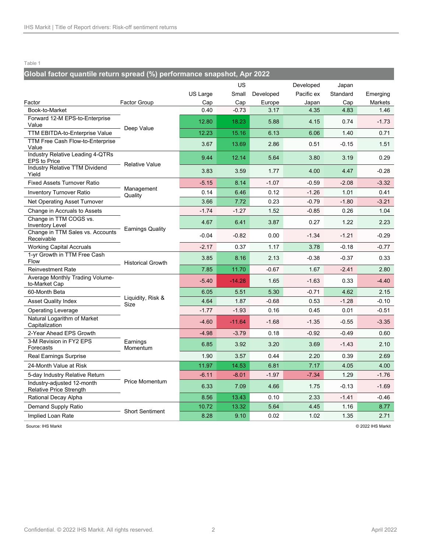## **Global factor quantile return spread (%) performance snapshot, Apr 2022**

|                                                         |                          | US Large | US<br>Small | Developed | Developed<br>Pacific ex | Japan<br>Standard | Emerging |
|---------------------------------------------------------|--------------------------|----------|-------------|-----------|-------------------------|-------------------|----------|
| Factor                                                  | <b>Factor Group</b>      | Cap      | Cap         | Europe    | Japan                   | Cap               | Markets  |
| Book-to-Market                                          |                          | 0.40     | $-0.73$     | 3.17      | 4.35                    | 4.83              | 1.46     |
| Forward 12-M EPS-to-Enterprise<br>Value                 |                          | 12.80    | 18.23       | 5.88      | 4.15                    | 0.74              | $-1.73$  |
| TTM EBITDA-to-Enterprise Value                          | Deep Value               | 12.23    | 15.16       | 6.13      | 6.06                    | 1.40              | 0.71     |
| TTM Free Cash Flow-to-Enterprise<br>Value               |                          | 3.67     | 13.69       | 2.86      | 0.51                    | $-0.15$           | 1.51     |
| Industry Relative Leading 4-QTRs<br><b>EPS to Price</b> | <b>Relative Value</b>    | 9.44     | 12.14       | 5.64      | 3.80                    | 3.19              | 0.29     |
| <b>Industry Relative TTM Dividend</b><br>Yield          |                          | 3.83     | 3.59        | 1.77      | 4.00                    | 4.47              | $-0.28$  |
| <b>Fixed Assets Turnover Ratio</b>                      |                          | $-5.15$  | 8.14        | $-1.07$   | $-0.59$                 | $-2.08$           | $-3.32$  |
| <b>Inventory Turnover Ratio</b>                         | Management<br>Quality    | 0.14     | 6.46        | 0.12      | $-1.26$                 | 1.01              | 0.41     |
| Net Operating Asset Turnover                            |                          | 3.66     | 7.72        | 0.23      | $-0.79$                 | $-1.80$           | $-3.21$  |
| Change in Accruals to Assets                            |                          | $-1.74$  | $-1.27$     | 1.52      | $-0.85$                 | 0.26              | 1.04     |
| Change in TTM COGS vs.<br><b>Inventory Level</b>        | <b>Earnings Quality</b>  | 4.67     | 6.41        | 3.87      | 0.27                    | 1.22              | 2.23     |
| Change in TTM Sales vs. Accounts<br>Receivable          |                          | $-0.04$  | $-0.82$     | 0.00      | $-1.34$                 | $-1.21$           | $-0.29$  |
| <b>Working Capital Accruals</b>                         |                          | $-2.17$  | 0.37        | 1.17      | 3.78                    | $-0.18$           | $-0.77$  |
| 1-yr Growth in TTM Free Cash<br>Flow                    | <b>Historical Growth</b> | 3.85     | 8.16        | 2.13      | $-0.38$                 | $-0.37$           | 0.33     |
| <b>Reinvestment Rate</b>                                |                          | 7.85     | 11.70       | $-0.67$   | 1.67                    | $-2.41$           | 2.80     |
| Average Monthly Trading Volume-<br>to-Market Cap        |                          | $-5.40$  | $-14.28$    | 1.65      | $-1.63$                 | 0.33              | $-4.40$  |
| 60-Month Beta                                           | Liquidity, Risk &        | 6.05     | 5.51        | 5.30      | $-0.71$                 | 4.62              | 2.15     |
| <b>Asset Quality Index</b>                              | Size                     | 4.64     | 1.87        | $-0.68$   | 0.53                    | $-1.28$           | $-0.10$  |
| <b>Operating Leverage</b>                               |                          | $-1.77$  | $-1.93$     | 0.16      | 0.45                    | 0.01              | $-0.51$  |
| Natural Logarithm of Market<br>Capitalization           |                          | $-4.60$  | $-11.64$    | $-1.68$   | $-1.35$                 | $-0.55$           | $-3.35$  |
| 2-Year Ahead EPS Growth                                 |                          | $-4.98$  | $-3.79$     | 0.18      | $-0.92$                 | $-0.49$           | 0.60     |
| 3-M Revision in FY2 EPS<br>Forecasts                    | Earnings<br>Momentum     | 6.85     | 3.92        | 3.20      | 3.69                    | $-1.43$           | 2.10     |
| Real Earnings Surprise                                  |                          | 1.90     | 3.57        | 0.44      | 2.20                    | 0.39              | 2.69     |
| 24-Month Value at Risk                                  |                          | 11.97    | 14.53       | 6.81      | 7.17                    | 4.05              | 4.00     |
| 5-day Industry Relative Return                          |                          | $-6.11$  | $-8.01$     | $-1.97$   | $-7.34$                 | 1.29              | $-1.76$  |
| Industry-adjusted 12-month<br>Relative Price Strength   | <b>Price Momentum</b>    | 6.33     | 7.09        | 4.66      | 1.75                    | $-0.13$           | $-1.69$  |
| Rational Decay Alpha                                    |                          | 8.56     | 13.43       | 0.10      | 2.33                    | $-1.41$           | $-0.46$  |
| Demand Supply Ratio                                     | <b>Short Sentiment</b>   | 10.72    | 13.32       | 5.64      | 4.45                    | 1.16              | 8.77     |
| Implied Loan Rate                                       |                          | 8.28     | 9.10        | 0.02      | 1.02                    | 1.35              | 2.71     |

Source: IHS Markit © 2022 IHS Markit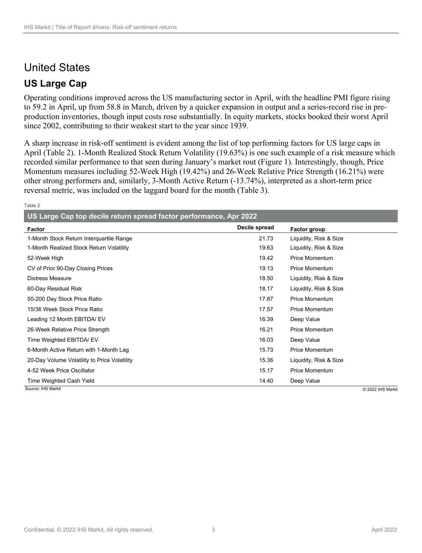## United States

## **US Large Cap**

Operating conditions improved across the US manufacturing sector in April, with the headline PMI figure rising to 59.2 in April, up from 58.8 in March, driven by a quicker expansion in output and a series-record rise in preproduction inventories, though input costs rose substantially. In equity markets, stocks booked their worst April since 2002, contributing to their weakest start to the year since 1939.

A sharp increase in risk-off sentiment is evident among the list of top performing factors for US large caps in April (Table 2). 1-Month Realized Stock Return Volatility (19.63%) is one such example of a risk measure which recorded similar performance to that seen during January's market rout (Figure 1). Interestingly, though, Price Momentum measures including 52-Week High (19.42%) and 26-Week Relative Price Strength (16.21%) were other strong performers and, similarly, 3-Month Active Return (-13.74%), interpreted as a short-term price reversal metric, was included on the laggard board for the month (Table 3).

#### Table 2

**US Large Cap top decile return spread factor performance, Apr 2022**

| Factor                                       | Decile spread | Factor group           |
|----------------------------------------------|---------------|------------------------|
| 1-Month Stock Return Interquartile Range     | 21.73         | Liquidity, Risk & Size |
| 1-Month Realized Stock Return Volatility     | 19.63         | Liquidity, Risk & Size |
| 52-Week High                                 | 19.42         | Price Momentum         |
| CV of Prior 90-Day Closing Prices            | 19.13         | <b>Price Momentum</b>  |
| <b>Distress Measure</b>                      | 18.50         | Liquidity, Risk & Size |
| 60-Day Residual Risk                         | 18.17         | Liquidity, Risk & Size |
| 50-200 Day Stock Price Ratio                 | 17.87         | <b>Price Momentum</b>  |
| 15/36 Week Stock Price Ratio                 | 17.57         | <b>Price Momentum</b>  |
| Leading 12 Month EBITDA/ EV                  | 16.39         | Deep Value             |
| 26-Week Relative Price Strength              | 16.21         | <b>Price Momentum</b>  |
| Time Weighted EBITDA/ EV                     | 16.03         | Deep Value             |
| 6-Month Active Return with 1-Month Lag       | 15.73         | <b>Price Momentum</b>  |
| 20-Day Volume Volatility to Price Volatility | 15.36         | Liquidity, Risk & Size |
| 4-52 Week Price Oscillator                   | 15.17         | <b>Price Momentum</b>  |
| Time Weighted Cash Yield                     | 14.40         | Deep Value             |
| Source: IHS Markit                           |               | © 2022 IHS Markit      |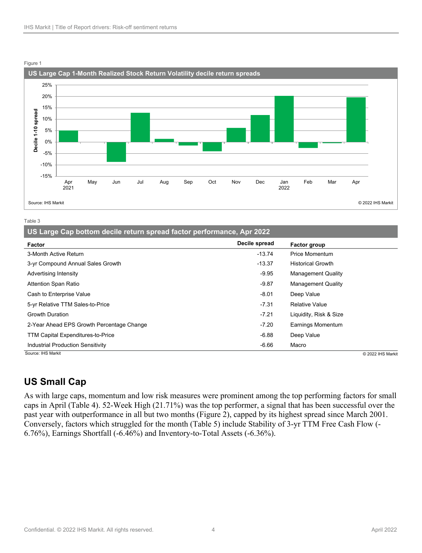

#### Figure 1

Table 3

|  |  | US Large Cap bottom decile return spread factor performance, Apr 2022 |  |  |
|--|--|-----------------------------------------------------------------------|--|--|
|--|--|-----------------------------------------------------------------------|--|--|

| Factor                                    | Decile spread | Factor group              |
|-------------------------------------------|---------------|---------------------------|
| 3-Month Active Return                     | $-13.74$      | Price Momentum            |
| 3-yr Compound Annual Sales Growth         | $-13.37$      | <b>Historical Growth</b>  |
| Advertising Intensity                     | $-9.95$       | <b>Management Quality</b> |
| <b>Attention Span Ratio</b>               | $-9.87$       | <b>Management Quality</b> |
| Cash to Enterprise Value                  | $-8.01$       | Deep Value                |
| 5-yr Relative TTM Sales-to-Price          | $-7.31$       | <b>Relative Value</b>     |
| <b>Growth Duration</b>                    | $-7.21$       | Liquidity, Risk & Size    |
| 2-Year Ahead EPS Growth Percentage Change | $-7.20$       | Earnings Momentum         |
| <b>TTM Capital Expenditures-to-Price</b>  | $-6.88$       | Deep Value                |
| <b>Industrial Production Sensitivity</b>  | $-6.66$       | Macro                     |
| Source: IHS Markit                        |               | C 2022 IHS Markit         |

## **US Small Cap**

As with large caps, momentum and low risk measures were prominent among the top performing factors for small caps in April (Table 4). 52-Week High (21.71%) was the top performer, a signal that has been successful over the past year with outperformance in all but two months (Figure 2), capped by its highest spread since March 2001. Conversely, factors which struggled for the month (Table 5) include Stability of 3-yr TTM Free Cash Flow (- 6.76%), Earnings Shortfall (-6.46%) and Inventory-to-Total Assets (-6.36%).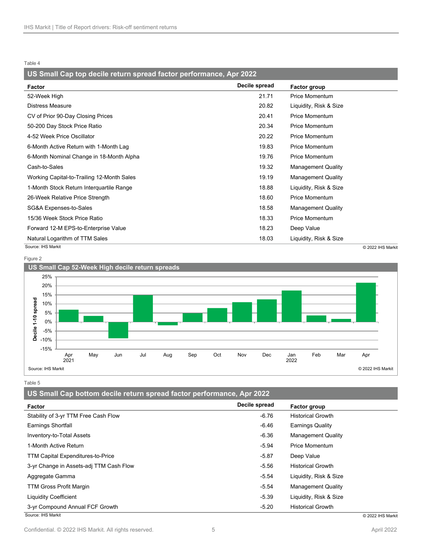#### **US Small Cap top decile return spread factor performance, Apr 2022**

| Factor                                     | Decile spread | Factor group              |                   |
|--------------------------------------------|---------------|---------------------------|-------------------|
| 52-Week High                               | 21.71         | <b>Price Momentum</b>     |                   |
| <b>Distress Measure</b>                    | 20.82         | Liquidity, Risk & Size    |                   |
| CV of Prior 90-Day Closing Prices          | 20.41         | <b>Price Momentum</b>     |                   |
| 50-200 Day Stock Price Ratio               | 20.34         | <b>Price Momentum</b>     |                   |
| 4-52 Week Price Oscillator                 | 20.22         | <b>Price Momentum</b>     |                   |
| 6-Month Active Return with 1-Month Lag     | 19.83         | <b>Price Momentum</b>     |                   |
| 6-Month Nominal Change in 18-Month Alpha   | 19.76         | <b>Price Momentum</b>     |                   |
| Cash-to-Sales                              | 19.32         | <b>Management Quality</b> |                   |
| Working Capital-to-Trailing 12-Month Sales | 19.19         | <b>Management Quality</b> |                   |
| 1-Month Stock Return Interguartile Range   | 18.88         | Liquidity, Risk & Size    |                   |
| 26-Week Relative Price Strength            | 18.60         | <b>Price Momentum</b>     |                   |
| SG&A Expenses-to-Sales                     | 18.58         | <b>Management Quality</b> |                   |
| 15/36 Week Stock Price Ratio               | 18.33         | Price Momentum            |                   |
| Forward 12-M EPS-to-Enterprise Value       | 18.23         | Deep Value                |                   |
| Natural Logarithm of TTM Sales             | 18.03         | Liquidity, Risk & Size    |                   |
| Source: IHS Markit                         |               |                           | C 2022 IHS Markit |

Figure 2



Table 5

**US Small Cap bottom decile return spread factor performance, Apr 2022**

| Factor                                   | Decile spread | Factor group              |
|------------------------------------------|---------------|---------------------------|
| Stability of 3-yr TTM Free Cash Flow     | $-6.76$       | <b>Historical Growth</b>  |
| Earnings Shortfall                       | $-6.46$       | Earnings Quality          |
| Inventory-to-Total Assets                | $-6.36$       | <b>Management Quality</b> |
| 1-Month Active Return                    | $-5.94$       | Price Momentum            |
| <b>TTM Capital Expenditures-to-Price</b> | $-5.87$       | Deep Value                |
| 3-yr Change in Assets-adj TTM Cash Flow  | $-5.56$       | <b>Historical Growth</b>  |
| Aggregate Gamma                          | $-5.54$       | Liquidity, Risk & Size    |
| <b>TTM Gross Profit Margin</b>           | $-5.54$       | <b>Management Quality</b> |
| <b>Liquidity Coefficient</b>             | $-5.39$       | Liquidity, Risk & Size    |
| 3-yr Compound Annual FCF Growth          | $-5.20$       | <b>Historical Growth</b>  |
| Source: IHS Markit                       |               | C 2022 IHS Markit         |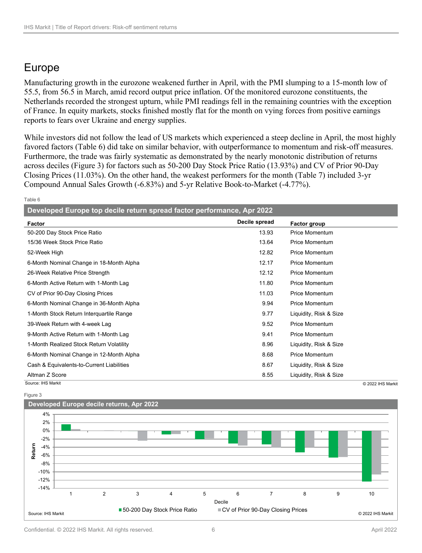## Europe

Manufacturing growth in the eurozone weakened further in April, with the PMI slumping to a 15-month low of 55.5, from 56.5 in March, amid record output price inflation. Of the monitored eurozone constituents, the Netherlands recorded the strongest upturn, while PMI readings fell in the remaining countries with the exception of France. In equity markets, stocks finished mostly flat for the month on vying forces from positive earnings reports to fears over Ukraine and energy supplies.

While investors did not follow the lead of US markets which experienced a steep decline in April, the most highly favored factors (Table 6) did take on similar behavior, with outperformance to momentum and risk-off measures. Furthermore, the trade was fairly systematic as demonstrated by the nearly monotonic distribution of returns across deciles (Figure 3) for factors such as 50-200 Day Stock Price Ratio (13.93%) and CV of Prior 90-Day Closing Prices (11.03%). On the other hand, the weakest performers for the month (Table 7) included 3-yr Compound Annual Sales Growth (-6.83%) and 5-yr Relative Book-to-Market (-4.77%).

Table 6

| Developed Europe top decile return spread factor performance, Apr 2022 |               |                        |
|------------------------------------------------------------------------|---------------|------------------------|
| Factor                                                                 | Decile spread | <b>Factor group</b>    |
| 50-200 Day Stock Price Ratio                                           | 13.93         | <b>Price Momentum</b>  |
| 15/36 Week Stock Price Ratio                                           | 13.64         | <b>Price Momentum</b>  |
| 52-Week High                                                           | 12.82         | Price Momentum         |
| 6-Month Nominal Change in 18-Month Alpha                               | 12.17         | <b>Price Momentum</b>  |
| 26-Week Relative Price Strength                                        | 12.12         | <b>Price Momentum</b>  |
| 6-Month Active Return with 1-Month Lag                                 | 11.80         | <b>Price Momentum</b>  |
| CV of Prior 90-Day Closing Prices                                      | 11.03         | <b>Price Momentum</b>  |
| 6-Month Nominal Change in 36-Month Alpha                               | 9.94          | <b>Price Momentum</b>  |
| 1-Month Stock Return Interquartile Range                               | 9.77          | Liquidity, Risk & Size |
| 39-Week Return with 4-week Lag                                         | 9.52          | <b>Price Momentum</b>  |
| 9-Month Active Return with 1-Month Lag                                 | 9.41          | <b>Price Momentum</b>  |
| 1-Month Realized Stock Return Volatility                               | 8.96          | Liquidity, Risk & Size |
| 6-Month Nominal Change in 12-Month Alpha                               | 8.68          | <b>Price Momentum</b>  |
| Cash & Equivalents-to-Current Liabilities                              | 8.67          | Liquidity, Risk & Size |
| Altman Z Score                                                         | 8.55          | Liquidity, Risk & Size |
| Source: IHS Markit                                                     |               | C 2022 IHS Markit      |





Confidential. © 2022 IHS Markit. All rights reserved. 6 April 2022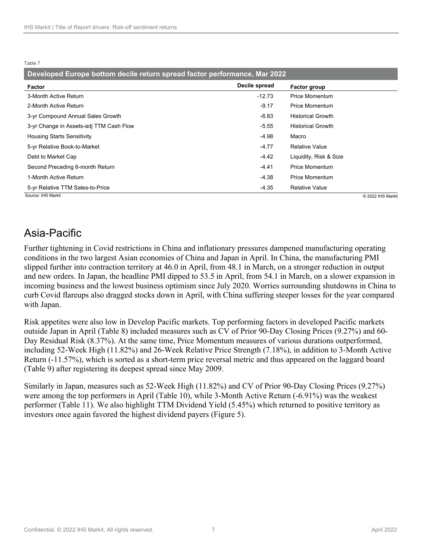| Developed Europe bottom decile return spread factor performance, Mar 2022 |               |                          |                   |
|---------------------------------------------------------------------------|---------------|--------------------------|-------------------|
| Factor                                                                    | Decile spread | Factor group             |                   |
| 3-Month Active Return                                                     | $-12.73$      | <b>Price Momentum</b>    |                   |
| 2-Month Active Return                                                     | -9.17         | Price Momentum           |                   |
| 3-yr Compound Annual Sales Growth                                         | -6.83         | <b>Historical Growth</b> |                   |
| 3-yr Change in Assets-adj TTM Cash Flow                                   | $-5.55$       | <b>Historical Growth</b> |                   |
| <b>Housing Starts Sensitivity</b>                                         | -4.98         | Macro                    |                   |
| 5-yr Relative Book-to-Market                                              | $-4.77$       | <b>Relative Value</b>    |                   |
| Debt to Market Cap                                                        | $-4.42$       | Liquidity, Risk & Size   |                   |
| Second Preceding 6-month Return                                           | $-4.41$       | <b>Price Momentum</b>    |                   |
| 1-Month Active Return                                                     | $-4.38$       | <b>Price Momentum</b>    |                   |
| 5-yr Relative TTM Sales-to-Price                                          | $-4.35$       | <b>Relative Value</b>    |                   |
| Source: IHS Markit                                                        |               |                          | C 2022 IHS Markit |

## Asia-Pacific

Further tightening in Covid restrictions in China and inflationary pressures dampened manufacturing operating conditions in the two largest Asian economies of China and Japan in April. In China, the manufacturing PMI slipped further into contraction territory at 46.0 in April, from 48.1 in March, on a stronger reduction in output and new orders. In Japan, the headline PMI dipped to 53.5 in April, from 54.1 in March, on a slower expansion in incoming business and the lowest business optimism since July 2020. Worries surrounding shutdowns in China to curb Covid flareups also dragged stocks down in April, with China suffering steeper losses for the year compared with Japan.

Risk appetites were also low in Develop Pacific markets. Top performing factors in developed Pacific markets outside Japan in April (Table 8) included measures such as CV of Prior 90-Day Closing Prices (9.27%) and 60- Day Residual Risk (8.37%). At the same time, Price Momentum measures of various durations outperformed, including 52-Week High (11.82%) and 26-Week Relative Price Strength (7.18%), in addition to 3-Month Active Return (-11.57%), which is sorted as a short-term price reversal metric and thus appeared on the laggard board (Table 9) after registering its deepest spread since May 2009.

Similarly in Japan, measures such as 52-Week High (11.82%) and CV of Prior 90-Day Closing Prices (9.27%) were among the top performers in April (Table 10), while 3-Month Active Return (-6.91%) was the weakest performer (Table 11). We also highlight TTM Dividend Yield (5.45%) which returned to positive territory as investors once again favored the highest dividend payers (Figure 5).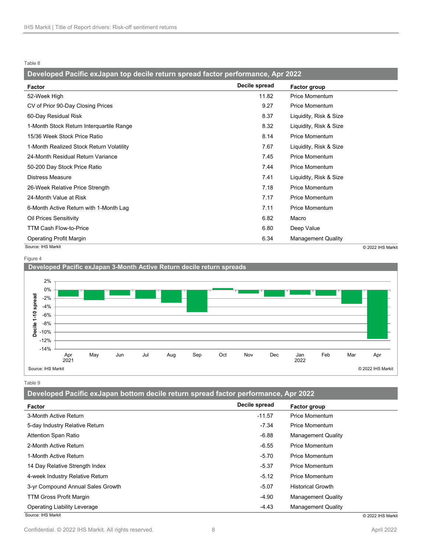### **Developed Pacific exJapan top decile return spread factor performance, Apr 2022**

| Factor                                   | Decile spread | Factor group              |
|------------------------------------------|---------------|---------------------------|
| 52-Week High                             | 11.82         | <b>Price Momentum</b>     |
| CV of Prior 90-Day Closing Prices        | 9.27          | <b>Price Momentum</b>     |
| 60-Day Residual Risk                     | 8.37          | Liquidity, Risk & Size    |
| 1-Month Stock Return Interquartile Range | 8.32          | Liquidity, Risk & Size    |
| 15/36 Week Stock Price Ratio             | 8.14          | <b>Price Momentum</b>     |
| 1-Month Realized Stock Return Volatility | 7.67          | Liquidity, Risk & Size    |
| 24-Month Residual Return Variance        | 7.45          | <b>Price Momentum</b>     |
| 50-200 Day Stock Price Ratio             | 7.44          | <b>Price Momentum</b>     |
| <b>Distress Measure</b>                  | 7.41          | Liquidity, Risk & Size    |
| 26-Week Relative Price Strength          | 7.18          | <b>Price Momentum</b>     |
| 24-Month Value at Risk                   | 7.17          | <b>Price Momentum</b>     |
| 6-Month Active Return with 1-Month Lag   | 7.11          | <b>Price Momentum</b>     |
| Oil Prices Sensitivity                   | 6.82          | Macro                     |
| <b>TTM Cash Flow-to-Price</b>            | 6.80          | Deep Value                |
| Operating Profit Margin                  | 6.34          | <b>Management Quality</b> |
| Source: IHS Markit                       |               | © 2022 IHS Markit         |

Figure 4



Table 9

**Developed Pacific exJapan bottom decile return spread factor performance, Apr 2022**

| <b>Factor</b>                     | Decile spread | Factor group              |
|-----------------------------------|---------------|---------------------------|
| 3-Month Active Return             | $-11.57$      | Price Momentum            |
| 5-day Industry Relative Return    | $-7.34$       | <b>Price Momentum</b>     |
| <b>Attention Span Ratio</b>       | $-6.88$       | <b>Management Quality</b> |
| 2-Month Active Return             | $-6.55$       | <b>Price Momentum</b>     |
| 1-Month Active Return             | $-5.70$       | <b>Price Momentum</b>     |
| 14 Day Relative Strength Index    | $-5.37$       | <b>Price Momentum</b>     |
| 4-week Industry Relative Return   | $-5.12$       | <b>Price Momentum</b>     |
| 3-yr Compound Annual Sales Growth | $-5.07$       | <b>Historical Growth</b>  |
| <b>TTM Gross Profit Margin</b>    | $-4.90$       | <b>Management Quality</b> |
| Operating Liability Leverage      | $-4.43$       | <b>Management Quality</b> |
| Source: IHS Markit                |               | © 2022 IHS Markit         |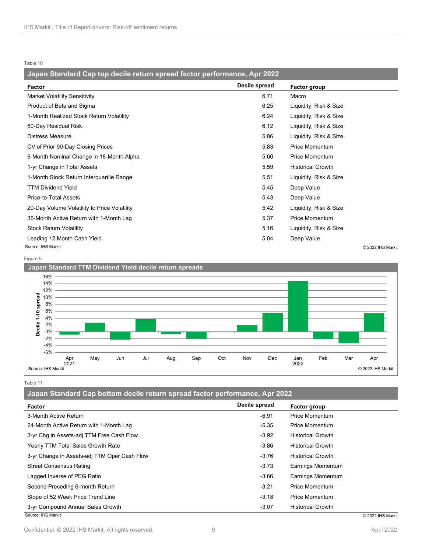| Japan Standard Cap top decile return spread factor performance, Apr 2022 |               |                          |  |
|--------------------------------------------------------------------------|---------------|--------------------------|--|
| Factor                                                                   | Decile spread | Factor group             |  |
| <b>Market Volatility Sensitivity</b>                                     | 6.71          | Macro                    |  |
| Product of Beta and Sigma                                                | 6.25          | Liquidity, Risk & Size   |  |
| 1-Month Realized Stock Return Volatility                                 | 6.24          | Liquidity, Risk & Size   |  |
| 60-Day Residual Risk                                                     | 6.12          | Liquidity, Risk & Size   |  |
| Distress Measure                                                         | 5.86          | Liquidity, Risk & Size   |  |
| CV of Prior 90-Day Closing Prices                                        | 5.83          | <b>Price Momentum</b>    |  |
| 6-Month Nominal Change in 18-Month Alpha                                 | 5.60          | <b>Price Momentum</b>    |  |
| 1-yr Change in Total Assets                                              | 5.59          | <b>Historical Growth</b> |  |
| 1-Month Stock Return Interquartile Range                                 | 5.51          | Liquidity, Risk & Size   |  |
| <b>TTM Dividend Yield</b>                                                | 5.45          | Deep Value               |  |
| Price-to-Total Assets                                                    | 5.43          | Deep Value               |  |
| 20-Day Volume Volatility to Price Volatility                             | 5.42          | Liquidity, Risk & Size   |  |
| 36-Month Active Return with 1-Month Lag                                  | 5.37          | <b>Price Momentum</b>    |  |
| <b>Stock Return Volatility</b>                                           | 5.16          | Liquidity, Risk & Size   |  |
| Leading 12 Month Cash Yield                                              | 5.04          | Deep Value               |  |
| Source: IHS Markit                                                       |               | C 2022 IHS Marki         |  |

Figure 5



Table 11

**Japan Standard Cap bottom decile return spread factor performance, Apr 2022**

| Factor                                       | Decile spread | <b>Factor group</b>      |
|----------------------------------------------|---------------|--------------------------|
| 3-Month Active Return                        | $-6.91$       | <b>Price Momentum</b>    |
| 24-Month Active Return with 1-Month Lag      | $-5.35$       | <b>Price Momentum</b>    |
| 3-yr Chg in Assets-adj TTM Free Cash Flow    | $-3.92$       | <b>Historical Growth</b> |
| Yearly TTM Total Sales Growth Rate           | $-3.86$       | <b>Historical Growth</b> |
| 3-yr Change in Assets-adj TTM Oper Cash Flow | $-3.76$       | <b>Historical Growth</b> |
| <b>Street Consensus Rating</b>               | $-3.73$       | <b>Earnings Momentum</b> |
| Lagged Inverse of PEG Ratio                  | $-3.66$       | <b>Earnings Momentum</b> |
| Second Preceding 6-month Return              | $-3.21$       | <b>Price Momentum</b>    |
| Slope of 52 Week Price Trend Line            | $-3.18$       | <b>Price Momentum</b>    |
| 3-yr Compound Annual Sales Growth            | $-3.07$       | <b>Historical Growth</b> |
| Source: IHS Markit                           |               | © 2022 IHS Markit        |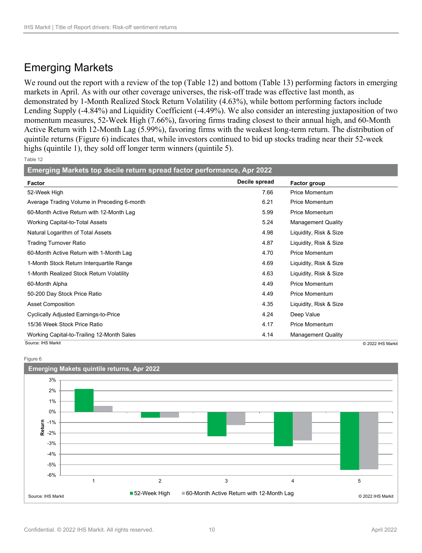## Emerging Markets

We round out the report with a review of the top (Table 12) and bottom (Table 13) performing factors in emerging markets in April. As with our other coverage universes, the risk-off trade was effective last month, as demonstrated by 1-Month Realized Stock Return Volatility (4.63%), while bottom performing factors include Lending Supply (-4.84%) and Liquidity Coefficient (-4.49%). We also consider an interesting juxtaposition of two momentum measures, 52-Week High (7.66%), favoring firms trading closest to their annual high, and 60-Month Active Return with 12-Month Lag (5.99%), favoring firms with the weakest long-term return. The distribution of quintile returns (Figure 6) indicates that, while investors continued to bid up stocks trading near their 52-week highs (quintile 1), they sold off longer term winners (quintile 5).

Table 12

| Emerging Markets top decile return spread factor performance, Apr 2022 |               |                           |  |  |
|------------------------------------------------------------------------|---------------|---------------------------|--|--|
| Factor                                                                 | Decile spread | <b>Factor group</b>       |  |  |
| 52-Week High                                                           | 7.66          | <b>Price Momentum</b>     |  |  |
| Average Trading Volume in Preceding 6-month                            | 6.21          | <b>Price Momentum</b>     |  |  |
| 60-Month Active Return with 12-Month Lag                               | 5.99          | <b>Price Momentum</b>     |  |  |
| Working Capital-to-Total Assets                                        | 5.24          | <b>Management Quality</b> |  |  |
| Natural Logarithm of Total Assets                                      | 4.98          | Liquidity, Risk & Size    |  |  |
| <b>Trading Turnover Ratio</b>                                          | 4.87          | Liquidity, Risk & Size    |  |  |
| 60-Month Active Return with 1-Month Lag                                | 4.70          | <b>Price Momentum</b>     |  |  |
| 1-Month Stock Return Interquartile Range                               | 4.69          | Liquidity, Risk & Size    |  |  |
| 1-Month Realized Stock Return Volatility                               | 4.63          | Liquidity, Risk & Size    |  |  |
| 60-Month Alpha                                                         | 4.49          | <b>Price Momentum</b>     |  |  |
| 50-200 Day Stock Price Ratio                                           | 4.49          | <b>Price Momentum</b>     |  |  |
| <b>Asset Composition</b>                                               | 4.35          | Liquidity, Risk & Size    |  |  |
| <b>Cyclically Adjusted Earnings-to-Price</b>                           | 4.24          | Deep Value                |  |  |
| 15/36 Week Stock Price Ratio                                           | 4.17          | <b>Price Momentum</b>     |  |  |
| Working Capital-to-Trailing 12-Month Sales                             | 4.14          | <b>Management Quality</b> |  |  |
| Source: IHS Markit                                                     |               | © 2022 IHS Markit         |  |  |

Figure 6

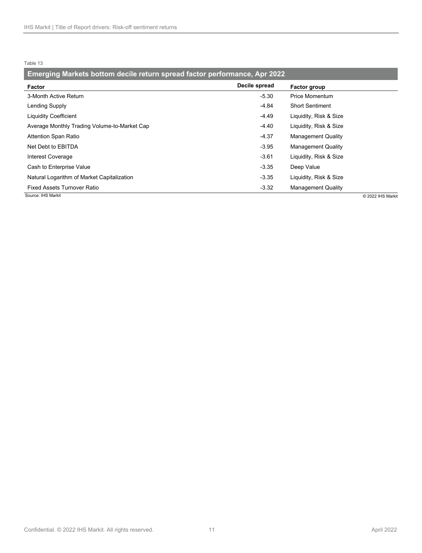| Emerging Markets bottom decile return spread factor performance, Apr 2022 |               |                           |                   |  |
|---------------------------------------------------------------------------|---------------|---------------------------|-------------------|--|
| Factor                                                                    | Decile spread | Factor group              |                   |  |
| 3-Month Active Return                                                     | $-5.30$       | <b>Price Momentum</b>     |                   |  |
| Lending Supply                                                            | $-4.84$       | <b>Short Sentiment</b>    |                   |  |
| <b>Liquidity Coefficient</b>                                              | $-4.49$       | Liquidity, Risk & Size    |                   |  |
| Average Monthly Trading Volume-to-Market Cap                              | $-4.40$       | Liquidity, Risk & Size    |                   |  |
| Attention Span Ratio                                                      | $-4.37$       | <b>Management Quality</b> |                   |  |
| Net Debt to EBITDA                                                        | -3.95         | <b>Management Quality</b> |                   |  |
| Interest Coverage                                                         | $-3.61$       | Liquidity, Risk & Size    |                   |  |
| Cash to Enterprise Value                                                  | $-3.35$       | Deep Value                |                   |  |
| Natural Logarithm of Market Capitalization                                | $-3.35$       | Liquidity, Risk & Size    |                   |  |
| <b>Fixed Assets Turnover Ratio</b>                                        | $-3.32$       | <b>Management Quality</b> |                   |  |
| Source: IHS Markit                                                        |               |                           | C 2022 IHS Markit |  |

Confidential. © 2022 IHS Markit. All rights reserved. 11 and 11 april 2022